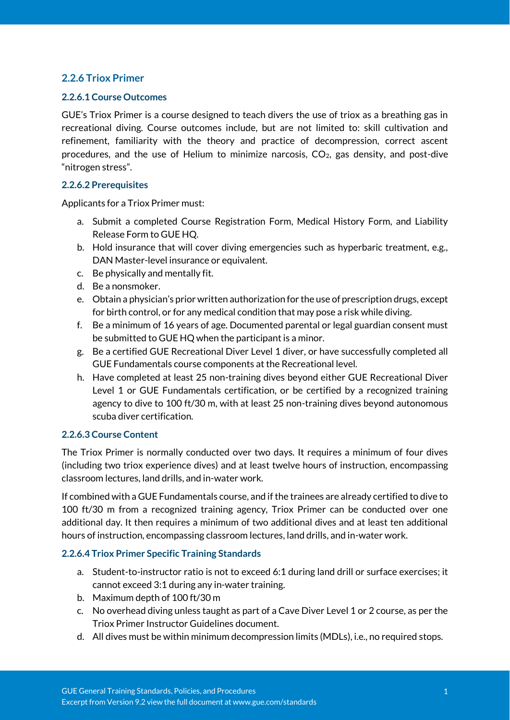# **2.2.6 Triox Primer**

#### **2.2.6.1 Course Outcomes**

GUE's Triox Primer is a course designed to teach divers the use of triox as a breathing gas in recreational diving. Course outcomes include, but are not limited to: skill cultivation and refinement, familiarity with the theory and practice of decompression, correct ascent procedures, and the use of Helium to minimize narcosis,  $CO<sub>2</sub>$ , gas density, and post-dive "nitrogen stress".

### **2.2.6.2 Prerequisites**

Applicants for a Triox Primer must:

- a. Submit a completed Course Registration Form, Medical History Form, and Liability Release Form to GUE HQ.
- b. Hold insurance that will cover diving emergencies such as hyperbaric treatment, e.g., DAN Master-level insurance or equivalent.
- c. Be physically and mentally fit.
- d. Be a nonsmoker.
- e. Obtain a physician's prior written authorization for the use of prescription drugs, except for birth control, or for any medical condition that may pose a risk while diving.
- f. Be a minimum of 16 years of age. Documented parental or legal guardian consent must be submitted to GUE HQ when the participant is a minor.
- g. Be a certified GUE Recreational Diver Level 1 diver, or have successfully completed all GUE Fundamentals course components at the Recreational level.
- h. Have completed at least 25 non-training dives beyond either GUE Recreational Diver Level 1 or GUE Fundamentals certification, or be certified by a recognized training agency to dive to 100 ft/30 m, with at least 25 non-training dives beyond autonomous scuba diver certification.

#### **2.2.6.3 Course Content**

The Triox Primer is normally conducted over two days. It requires a minimum of four dives (including two triox experience dives) and at least twelve hours of instruction, encompassing classroom lectures, land drills, and in-water work.

If combined with a GUE Fundamentals course, and if the trainees are already certified to dive to 100 ft/30 m from a recognized training agency, Triox Primer can be conducted over one additional day. It then requires a minimum of two additional dives and at least ten additional hours of instruction, encompassing classroom lectures, land drills, and in-water work.

#### **2.2.6.4 Triox Primer Specific Training Standards**

- a. Student-to-instructor ratio is not to exceed 6:1 during land drill or surface exercises; it cannot exceed 3:1 during any in-water training.
- b. Maximum depth of 100 ft/30 m
- c. No overhead diving unless taught as part of a Cave Diver Level 1 or 2 course, as per the Triox Primer Instructor Guidelines document.
- d. All dives must be within minimum decompression limits (MDLs), i.e., no required stops.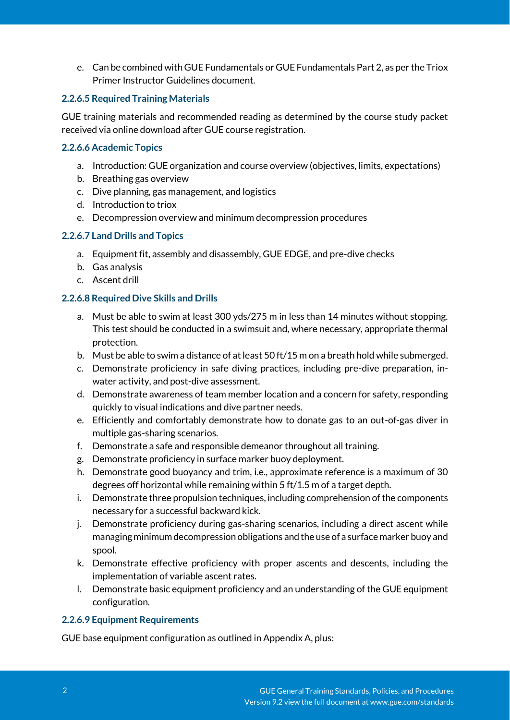e. Can be combined with GUE Fundamentals or GUE Fundamentals Part 2, as per the Triox Primer Instructor Guidelines document.

## **2.2.6.5 Required Training Materials**

GUE training materials and recommended reading as determined by the course study packet received via online download after GUE course registration.

### **2.2.6.6 Academic Topics**

- a. Introduction: GUE organization and course overview (objectives, limits, expectations)
- b. Breathing gas overview
- c. Dive planning, gas management, and logistics
- d. Introduction to triox
- e. Decompression overview and minimum decompression procedures

# **2.2.6.7 Land Drills and Topics**

- a. Equipment fit, assembly and disassembly, GUE EDGE, and pre-dive checks
- b. Gas analysis
- c. Ascent drill

# **2.2.6.8 Required Dive Skills and Drills**

- a. Must be able to swim at least 300 yds/275 m in less than 14 minutes without stopping. This test should be conducted in a swimsuit and, where necessary, appropriate thermal protection.
- b. Must be able to swim a distance of at least 50 ft/15 m on a breath hold while submerged.
- c. Demonstrate proficiency in safe diving practices, including pre-dive preparation, inwater activity, and post-dive assessment.
- d. Demonstrate awareness of team member location and a concern for safety, responding quickly to visual indications and dive partner needs.
- e. Efficiently and comfortably demonstrate how to donate gas to an out-of-gas diver in multiple gas-sharing scenarios.
- f. Demonstrate a safe and responsible demeanor throughout all training.
- g. Demonstrate proficiency in surface marker buoy deployment.
- h. Demonstrate good buoyancy and trim, i.e., approximate reference is a maximum of 30 degrees off horizontal while remaining within 5 ft/1.5 m of a target depth.
- i. Demonstrate three propulsion techniques, including comprehension of the components necessary for a successful backward kick.
- j. Demonstrate proficiency during gas-sharing scenarios, including a direct ascent while managing minimum decompression obligations and the use of a surface marker buoy and spool.
- k. Demonstrate effective proficiency with proper ascents and descents, including the implementation of variable ascent rates.
- l. Demonstrate basic equipment proficiency and an understanding of the GUE equipment configuration.

# **2.2.6.9 Equipment Requirements**

GUE base equipment configuration as outlined in Appendix A, plus: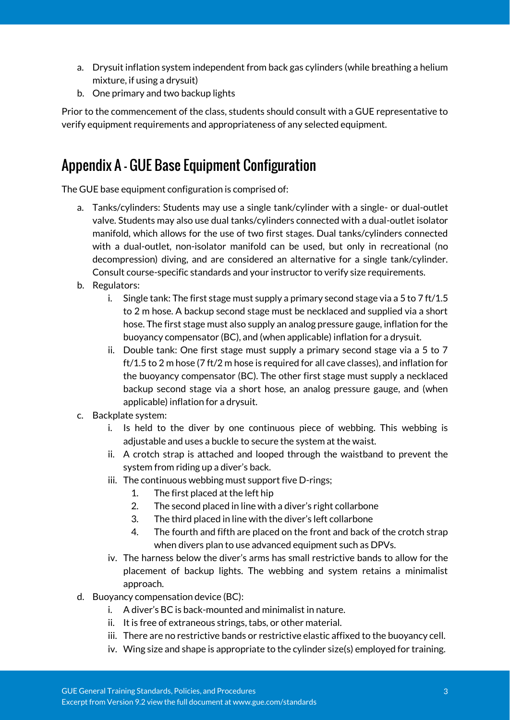- a. Drysuit inflation system independent from back gas cylinders (while breathing a helium mixture, if using a drysuit)
- b. One primary and two backup lights

Prior to the commencement of the class, students should consult with a GUE representative to verify equipment requirements and appropriateness of any selected equipment.

# Appendix A - GUE Base Equipment Configuration

The GUE base equipment configuration is comprised of:

- a. Tanks/cylinders: Students may use a single tank/cylinder with a single- or dual-outlet valve. Students may also use dual tanks/cylinders connected with a dual-outlet isolator manifold, which allows for the use of two first stages. Dual tanks/cylinders connected with a dual-outlet, non-isolator manifold can be used, but only in recreational (no decompression) diving, and are considered an alternative for a single tank/cylinder. Consult course-specific standards and your instructor to verify size requirements.
- b. Regulators:
	- i. Single tank: The first stage must supply a primary second stage via a 5 to 7 ft/1.5 to 2 m hose. A backup second stage must be necklaced and supplied via a short hose. The first stage must also supply an analog pressure gauge, inflation for the buoyancy compensator (BC), and (when applicable) inflation for a drysuit.
	- ii. Double tank: One first stage must supply a primary second stage via a 5 to 7 ft/1.5 to 2 m hose (7 ft/2 m hose is required for all cave classes), and inflation for the buoyancy compensator (BC). The other first stage must supply a necklaced backup second stage via a short hose, an analog pressure gauge, and (when applicable) inflation for a drysuit.
- c. Backplate system:
	- i. Is held to the diver by one continuous piece of webbing. This webbing is adjustable and uses a buckle to secure the system at the waist.
	- ii. A crotch strap is attached and looped through the waistband to prevent the system from riding up a diver's back.
	- iii. The continuous webbing must support five D-rings;
		- 1. The first placed at the left hip
		- 2. The second placed in line with a diver's right collarbone
		- 3. The third placed in line with the diver's left collarbone
		- 4. The fourth and fifth are placed on the front and back of the crotch strap when divers plan to use advanced equipment such as DPVs.
	- iv. The harness below the diver's arms has small restrictive bands to allow for the placement of backup lights. The webbing and system retains a minimalist approach.
- d. Buoyancy compensation device (BC):
	- i. A diver's BC is back-mounted and minimalist in nature.
	- ii. It is free of extraneous strings, tabs, or other material.
	- iii. There are no restrictive bands or restrictive elastic affixed to the buoyancy cell.
	- iv. Wing size and shape is appropriate to the cylinder size(s) employed for training.